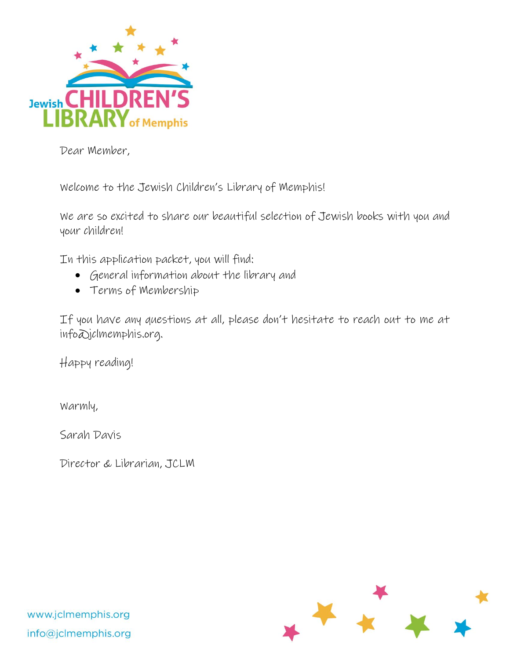

Dear Member,

Welcome to the Jewish Children's Library of Memphis!

We are so excited to share our beautiful selection of Jewish books with you and your children!

In this application packet, you will find:

- General information about the library and
- Terms of Membership

If you have any questions at all, please don't hesitate to reach out to me at info@jclmemphis.org.

Happy reading!

Warmly,

Sarah Davis

Director & Librarian, JCLM



www.jclmemphis.org info@jclmemphis.org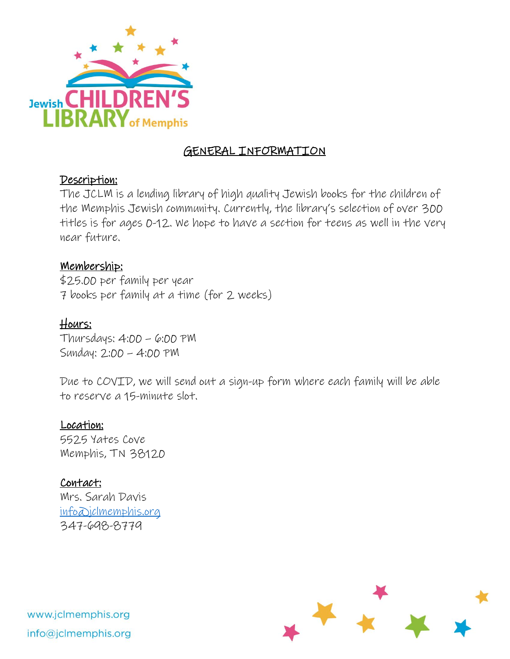

# GENERAL INFORMATION

## Description:

The JCLM is a lending library of high quality Jewish books for the children of the Memphis Jewish community. Currently, the library's selection of over 300 titles is for ages 0-12. We hope to have a section for teens as well in the very near future.

## Membership:

\$25.00 per family per year 7 books per family at a time (for 2 weeks)

# Hours:

Thursdays: 4:00 – 6:00 PM Sunday: 2:00 – 4:00 PM

Due to COVID, we will send out a sign-up form where each family will be able to reserve a 15-minute slot.

## Location:

5525 Yates Cove Memphis, TN 38120

## Contact:

Mrs. Sarah Davis [info@jclmemphis.org](mailto:info@jclmemphis.org) 347-698-8779

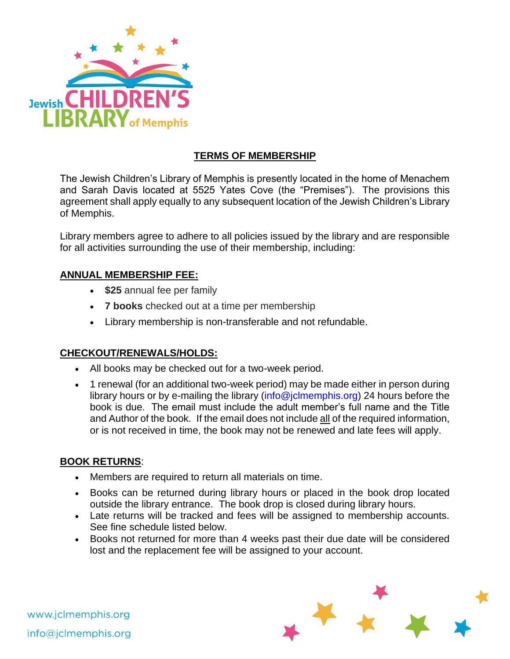

### **TERMS OF MEMBERSHIP**

The Jewish Children's Library of Memphis is presently located in the home of Menachem and Sarah Davis located at 5525 Yates Cove (the "Premises"). The provisions this agreement shall apply equally to any subsequent location of the Jewish Children's Library of Memphis.

Library members agree to adhere to all policies issued by the library and are responsible for all activities surrounding the use of their membership, including:

#### **ANNUAL MEMBERSHIP FEE:**

- **\$25** annual fee per family
- **7 books** checked out at a time per membership
- Library membership is non-transferable and not refundable.

#### **CHECKOUT/RENEWALS/HOLDS:**

- All books may be checked out for a two-week period.
- 1 renewal (for an additional two-week period) may be made either in person during library hours or by e-mailing the library (info@jclmemphis.org) 24 hours before the book is due. The email must include the adult member's full name and the Title and Author of the book. If the email does not include all of the required information, or is not received in time, the book may not be renewed and late fees will apply.

#### **BOOK RETURNS**:

- Members are required to return all materials on time.
- Books can be returned during library hours or placed in the book drop located outside the library entrance. The book drop is closed during library hours.
- Late returns will be tracked and fees will be assigned to membership accounts. See fine schedule listed below.
- Books not returned for more than 4 weeks past their due date will be considered lost and the replacement fee will be assigned to your account.



www.jclmemphis.org info@jclmemphis.org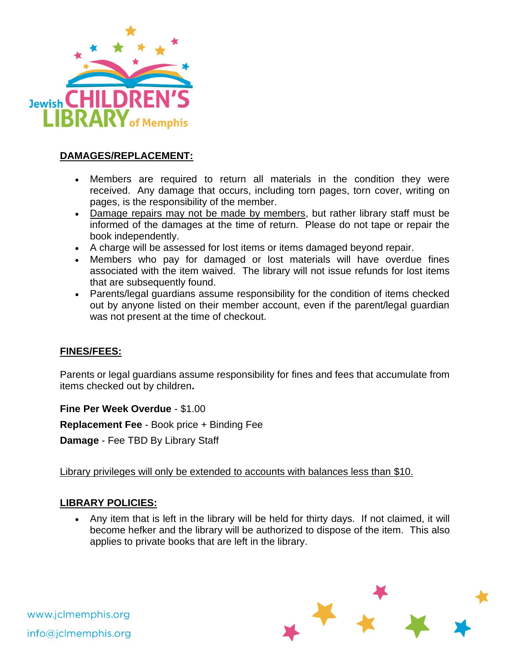

### **DAMAGES/REPLACEMENT:**

- Members are required to return all materials in the condition they were received. Any damage that occurs, including torn pages, torn cover, writing on pages, is the responsibility of the member.
- Damage repairs may not be made by members, but rather library staff must be informed of the damages at the time of return. Please do not tape or repair the book independently.
- A charge will be assessed for lost items or items damaged beyond repair.
- Members who pay for damaged or lost materials will have overdue fines associated with the item waived. The library will not issue refunds for lost items that are subsequently found.
- Parents/legal guardians assume responsibility for the condition of items checked out by anyone listed on their member account, even if the parent/legal guardian was not present at the time of checkout.

#### **FINES/FEES:**

Parents or legal guardians assume responsibility for fines and fees that accumulate from items checked out by children**.**

**Fine Per Week Overdue** - \$1.00

**Replacement Fee** - Book price + Binding Fee

**Damage** - Fee TBD By Library Staff

Library privileges will only be extended to accounts with balances less than \$10.

#### **LIBRARY POLICIES:**

• Any item that is left in the library will be held for thirty days. If not claimed, it will become hefker and the library will be authorized to dispose of the item. This also applies to private books that are left in the library.



www.jclmemphis.org info@jclmemphis.org